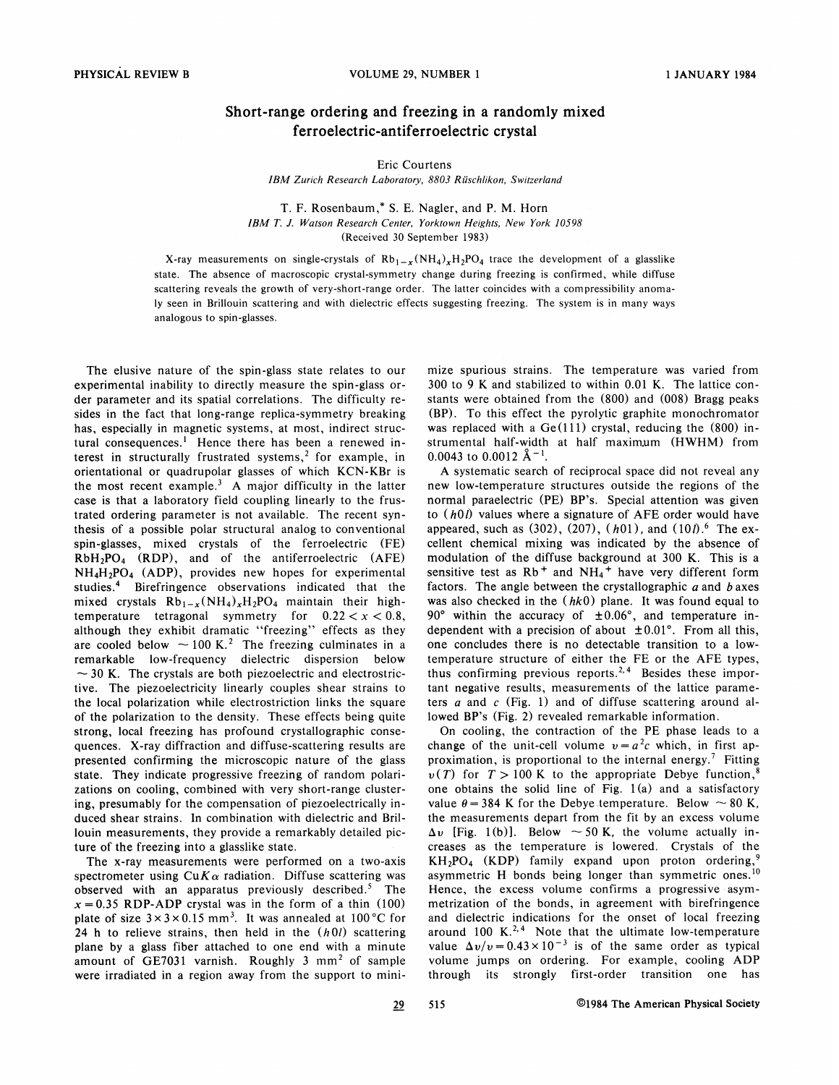## Short-range ordering and freezing in a randomly mixed ferroelectric-antiferroelectric crystal

Eric Courtens

IBM Zurich Research Laboratory, 8803 Rüschlikon, Switzerland

T. F. Rosenbaum, ' S. E. Nagler, and P. M. Horn IBM T. J. Watson Research Center, Yorktown Heights, New York 10598 (Received 30 September 1983)

X-ray measurements on single-crystals of  $Rb_{1-x}(NH_4)_xH_2PO_4$  trace the development of a glasslike state. The absence of macroscopic crystal-symmetry change during freezing is confirmed, while diffuse scattering reveals the growth of very-short-range order. The latter coincides with a compressibility anornaly seen in Brillouin scattering and with dielectric effects suggesting freezing. The system is in many ways analogous to spin-glasses.

The elusive nature of the spin-glass state relates to our experimental inability to directly measure the spin-glass order parameter and its spatial correlations. The difficulty resides in the fact that long-range replica-symmetry breaking has, especially in magnetic systems, at most, indirect structural consequences.<sup>1</sup> Hence there has been a renewed interest in structurally frustrated systems,<sup>2</sup> for example, in orientational or quadrupolar glasses of which KCN-KBr is the most recent example.<sup>3</sup> A major difficulty in the latter case is that a laboratory field coupling linearly to the frustrated ordering parameter is not available. The recent synthesis of a possible polar structural analog to conventional spin-glasses, mixed crystals of the ferroelectric (FE) RbH2PO4 (RDP), and of the antiferroelectric (AFE) NH4H2PO4 (ADP), provides new hopes for experimental studies.<sup>4</sup> Birefringence observations indicated that the mixed crystals  $Rb_{1-x}(NH_4)_xH_2PO_4$  maintain their highmixed crystals  $Rb_{1-x}(NH_4)_xH_2PO_4$  maintain their high-<br>temperature tetragonal symmetry for  $0.22 < x < 0.8$ ,<br>although they exhibit dramatic "freezing" effects as they are cooled below  $\sim$  100 K.<sup>2</sup> The freezing culminates in a remarkable low-frequency dielectric dispersion below  $\sim$  30 K. The crystals are both piezoelectric and electrostrictive. The piezoelectricity linearly couples shear strains to the local polarization while electrostriction links the square of the polarization to the density. These effects being quite strong, local freezing has profound crystallographic consequences. X-ray diffraction and diffuse-scattering results are presented confirming the microscopic nature of the glass state. They indicate progressive freezing of random polarizations on cooling, combined with very short-range clustering, presumably for the compensation of piezoelectrically induced shear strains. In combination with dielectric and Brillouin measurements, they provide a remarkably detailed picture of the freezing into a glasslike state.

The x-ray measurements were performed on a two-axis spectrometer using  $CuK\alpha$  radiation. Diffuse scattering was observed with an apparatus previously described.<sup>5</sup> The  $x = 0.35$  RDP-ADP crystal was in the form of a thin (100) plate of size  $3 \times 3 \times 0.15$  mm<sup>3</sup>. It was annealed at 100 °C for 24 h to relieve strains, then held in the  $(h0l)$  scattering plane by a glass fiber attached to one end with a minute amount of GE7031 varnish. Roughly 3 mm' of sample were irradiated in a region away from the support to minimize spurious strains. The temperature was varied from 300 to 9 K and stabilized to within 0.01 K. The lattice constants were obtained from the (800) and (008) Bragg peaks (BP). To this effect the pyrolytic graphite monochromator was replaced with a Ge(111) crystal, reducing the (800) instrumental half-width at half maximum (HWHM) from 0.0043 to 0.0012  $\AA^{-1}$ .

A systematic search of reciprocal space did not reveal any new low-temperature structures outside the regions of the normal paraelectric (PE) BP's. Special attention was given to (h0l) values where a signature of AFE order would have appeared, such as  $(302)$ ,  $(207)$ ,  $(h01)$ , and  $(10l)$ .<sup>6</sup> The excellent chemical mixing was indicated by the absence of modulation of the diffuse background at 300 K. This is a sensitive test as  $Rb^+$  and  $NH_4^+$  have very different form factors. The angle between the crystallographic  $\alpha$  and  $\beta$  axes was also checked in the  $(hk0)$  plane. It was found equal to  $90^\circ$  within the accuracy of  $\pm 0.06^\circ$ , and temperature independent with a precision of about  $\pm 0.01$ °. From all this, one concludes there is no detectable transition to a lowemperature structure of either the FE or the AFE types, hus confirming previous reports.<sup>2,4</sup> Besides these important negative results, measurements of the lattice parameters  $a$  and  $c$  (Fig. 1) and of diffuse scattering around allowed BP's (Fig. 2) revealed remarkable information.

On cooling, the contraction of the PE phase leads to a change of the unit-cell volume  $v=a^2c$  which, in first approximation, is proportional to the internal energy.<sup>7</sup> Fitting  $v(T)$  for  $T > 100$  K to the appropriate Debye function,<sup>8</sup> one obtains the solid line of Fig.  $1(a)$  and a satisfactory value  $\theta = 384$  K for the Debye temperature. Below  $\sim 80$  K, the measurements depart from the fit by an excess volume  $\Delta v$  [Fig. 1(b)]. Below  $\sim$  50 K, the volume actually increases as the temperature is lowered. Crystals of the  $KH<sub>2</sub>PO<sub>4</sub>$  (KDP) family expand upon proton ordering, asymmetric H bonds being longer than symmetric ones.<sup>10</sup> Hence, the excess volume confirms a progressive asymmetrization of the bonds, in agreement with birefringence and dielectric indications for the onset of local freezing around 100 K.<sup>2,4</sup> Note that the ultimate low-temperature value  $\Delta v/v = 0.43 \times 10^{-3}$  is of the same order as typical volume jumps on ordering. For example, cooling ADP through its strongly first-order transition one has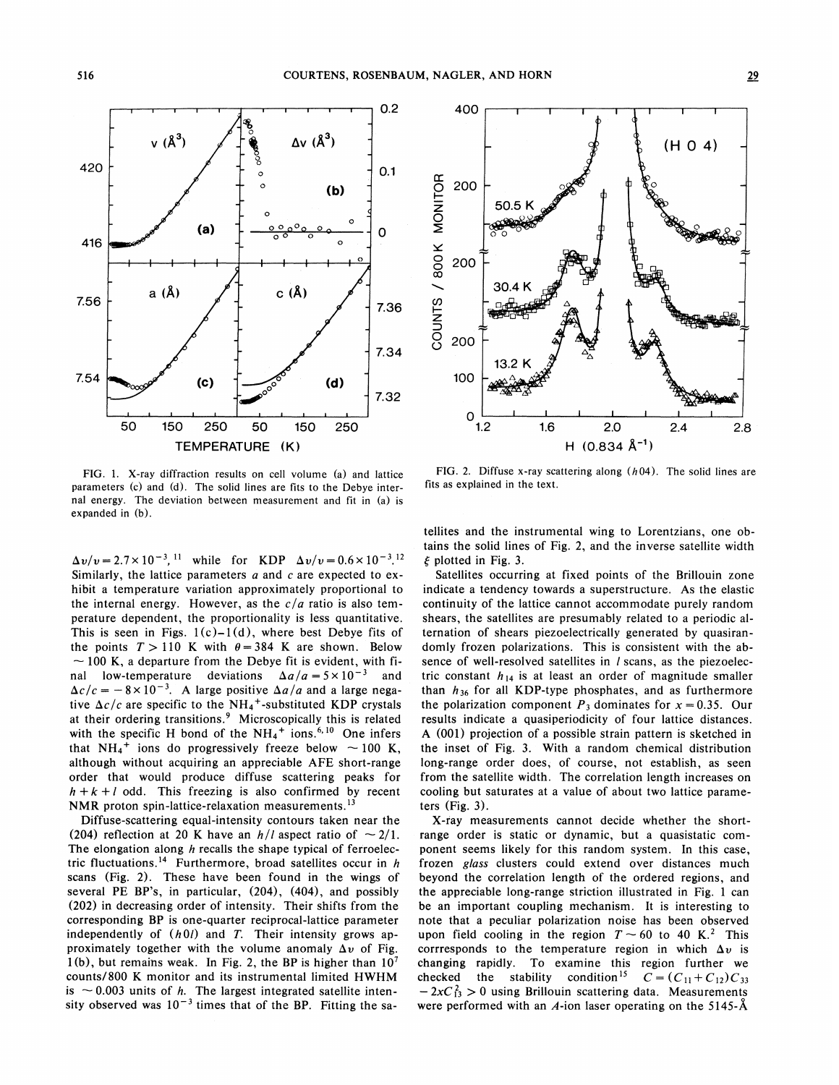420

756-

7.54

416



 $(d)$ 

7.32



FIG, 1. X-ray diffraction results on cell volume (a) and lattice parameters (c) and (d). The solid lines are fits to the Debye internal energy. The deviation between measurement and fit in (a) is expanded in (b).

l l I I I I l I I I 50 150 250 50 150 250 TEMPERATURE (K)

 $(c)$ 

 $\Delta v/v = 2.7 \times 10^{-3}$ , <sup>11</sup> while for KDP  $\Delta v/v = 0.6 \times 10^{-3}$ , <sup>12</sup> Similarly, the lattice parameters  $a$  and  $c$  are expected to exhibit a temperature variation approximately proportional to the internal energy. However, as the  $c/a$  ratio is also temperature dependent, the proportionality is less quantitative. This is seen in Figs.  $1(c)-1(d)$ , where best Debye fits of the points  $T > 110$  K with  $\theta = 384$  K are shown. Below  $\sim 100$  K, a departure from the Debye fit is evident, with final low-temperature deviations  $\Delta a/a = 5 \times 10^{-3}$  and  $\Delta c/c = -8 \times 10^{-3}$ . A large positive  $\Delta a/a$  and a large negative  $\Delta c/c$  are specific to the NH<sub>4</sub><sup>+</sup>-substituted KDP crystals at their ordering transitions.<sup>9</sup> Microscopically this is related with the specific H bond of the  $NH_4^+$  ions.  $6,10$  One infers that  $NH_4^+$  ions do progressively freeze below  $\sim$  100 K, although without acquiring an appreciable APE short-range order that would produce diffuse scattering peaks for  $h + k + l$  odd. This freezing is also confirmed by recent<br>NMR proton spin-lattice-relaxation measurements.<sup>13</sup> NMR proton spin-lattice-relaxation measurements.<sup>13</sup>

Diffuse-scattering equal-intensity contours taken near the (204) reflection at 20 K have an  $h/l$  aspect ratio of  $\sim 2/1$ . The elongation along  $h$  recalls the shape typical of ferroelectric fluctuations.<sup>14</sup> Furthermore, broad satellites occur in  $h$ scans (Fig. 2). These have been found in the wings of several PE BP's, in particular, (204), (404), and possibly (202) in decreasing order of intensity. Their shifts from the corresponding BP is one-quarter reciprocal-lattice parameter independently of  $(h0l)$  and T. Their intensity grows approximately together with the volume anomaly  $\Delta v$  of Fig. 1(b), but remains weak. In Fig. 2, the BP is higher than  $10<sup>7</sup>$ counts/800 K monitor and its instrumental limited HWHM counts/800 K monitor and its instrumental limited  $HWHM$ <br>is  $\sim$  0.003 units of h. The largest integrated satellite intensity observed was  $10^{-3}$  times that of the BP. Fitting the sa-

FIG. 2. Diffuse x-ray scattering along  $(h04)$ . The solid lines are fits as explained in the text.

tellites and the instrumental wing to Lorentzians, one obtains the solid lines of Fig. 2, and the inverse satellite width  $\xi$  plotted in Fig. 3.

Satellites occurring at fixed points of the Brillouin zone indicate a tendency towards a superstructure. As the elastic continuity of the lattice cannot accommodate purely random shears, the satellites are presumably related to a periodic alternation of shears piezoelectrically generated by quasirandomly frozen polarizations. This is consistent with the absence of well-resolved satellites in / scans, as the piezoelectric constant  $h_{14}$  is at least an order of magnitude smaller than  $h_{36}$  for all KDP-type phosphates, and as furthermore the polarization component  $P_3$  dominates for  $x = 0.35$ . Our results indicate a quasiperiodicity of four lattice distances. A  $(001)$  projection of a possible strain pattern is sketched in the inset of Fig. 3. With a random chemical distribution long-range order does, of course, not establish, as seen from the satellite width. The correlation length increases on cooling but saturates at a value of about two lattice parameters (Fig. 3).

X-fay measurements cannot decide whether the shortrange order is static or dynamic, but a quasistatic component seems likely for this random system. In this case, frozen glass clusters could extend over distances much beyond the correlation length of the ordered regions, and the appreciable long-range striction illustrated in Fig. 1 can be an important coupling mechanism. It is interesting to note that a peculiar polarization noise has been observed upon field cooling in the region  $T \sim 60$  to 40 K.<sup>2</sup> This corrresponds to the temperature region in which  $\Delta v$  is changing rapidly. To examine this region further we checked the stability condition <sup>15</sup>  $C = (C_{11} + C_{12})C_{33}$ <br>-2xC<sub>13</sub> > 0 using Brillouin scattering data. Measurements were performed with an A-ion laser operating on the 5145- $\AA$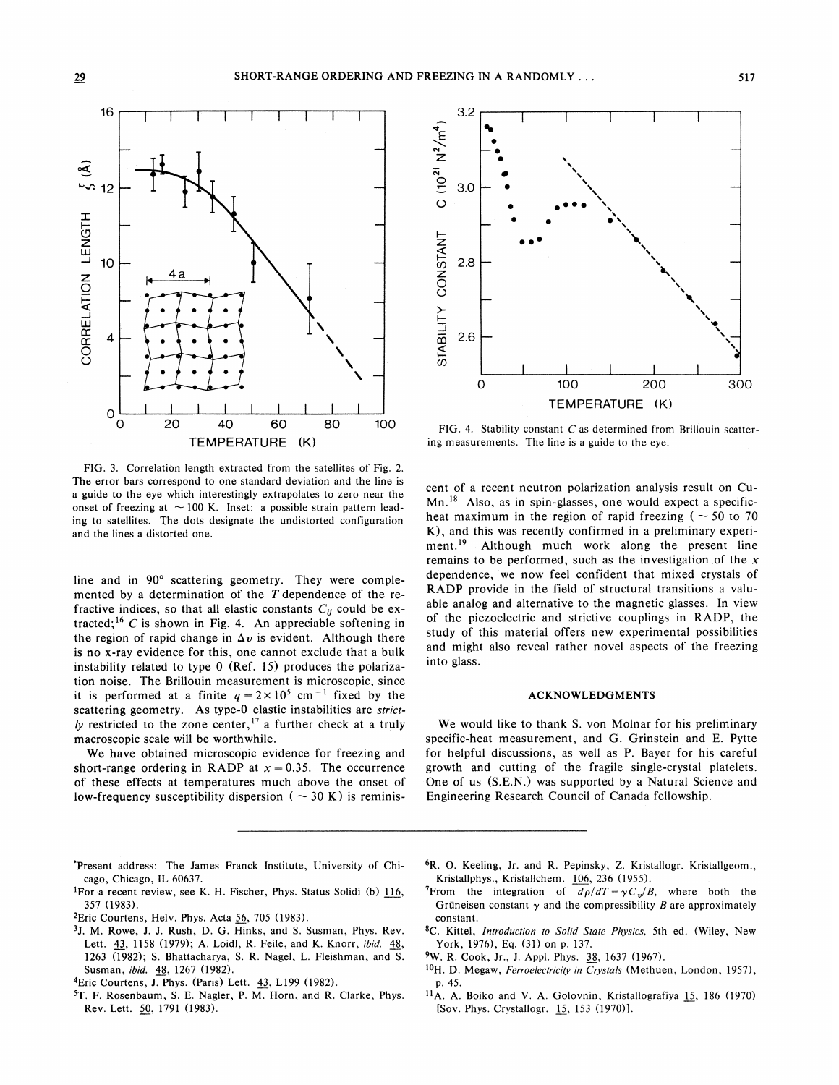

FIG. 3. Correlation length extracted from the satellites of Fig. 2. The error bars correspond to one standard deviation and the line is a guide to the eye which interestingly extrapolates to zero near the onset of freezing at  $\sim$  100 K. Inset: a possible strain pattern leading to satellites. The dots designate the undistorted configuration and the lines a distorted one.

line and in 90' scattering geometry. They were complemented by a determination of the  $T$  dependence of the refractive indices, so that all elastic constants  $C_{ij}$  could be extracted;<sup>16</sup> C is shown in Fig. 4. An appreciable softening in the region of rapid change in  $\Delta v$  is evident. Although there is no x-ray evidence for this, one cannot exclude that a bulk instability related to type 0 (Ref. 15) produces the polarization noise. The Brillouin measurement is microscopic, since it is performed at a finite  $q = 2 \times 10^5$  cm<sup>-1</sup> fixed by the scattering geometry. As type-0 elastic instabilities are strictly restricted to the zone center,  $17$  a further check at a truly macroscopic scale will be worthwhile.

We have obtained microscopic evidence for freezing and short-range ordering in RADP at  $x = 0.35$ . The occurrence of these effects at temperatures much above the onset of low-frequency susceptibility dispersion (  $\sim$  30 K) is reminis-



FIG. 4. Stability constant  $C$  as determined from Brillouin scattering measurements. The line is a guide to the eye.

cent of a recent neutron polarization analysis result on Cuent of a recent neutron polarization analysis result on Cu-<br>Mn.<sup>18</sup> Also, as in spin-glasses, one would expect a specificheat maximum in the region of rapid freezing ( $\sim$  50 to 70 K), and this was recently confirmed in a preliminary experi-<br>ment.<sup>19</sup> Although much work along the present line Although much work along the present line remains to be performed, such as the investigation of the  $x$ dependence, we now feel confident that mixed crystals of RADP provide in the field of structural transitions a valuable analog and alternative to the magnetic glasses. In view of the piezoelectric and strictive couplings in RADP, the study of this material offers new experimental possibilities and might also reveal rather novel aspects of the freezing into glass.

## ACKNOWLEDGMENTS

We would like to thank S. von Molnar for his preliminary specific-heat measurement, and G. Grinstein and E. Pytte for helpful discussions, as well as P. Bayer for his careful growth and cutting of the fragile single-crystal platelets. One of us (S.E.N.) was supported by a Natural Science and Engineering Research Council of Canada fellowship.

- 'Present address: The James Franck Institute, University of Chicago, Chicago, II. 60637.
- <sup>1</sup>For a recent review, see K. H. Fischer, Phys. Status Solidi (b)  $116$ , 357 (1983).
- <sup>2</sup>Eric Courtens, Helv. Phys. Acta  $56$ , 705 (1983).
- <sup>3</sup>J. M. Rowe, J. J. Rush, D. G. Hinks, and S. Susman, Phys. Rev. Lett. 43, 1158 (1979); A. Loidl, R. Feile, and K. Knorr, *ibid.* 48, 1263 (1982); S. Bhattacharya, S. R. Nagel, L. Fleishman, and S. Susman, ibid, 48, 1267 (1982).
- 4Eric Courtens, J. Phys. (Paris) Lett. 43, L199 (1982).
- 5T. F. Rosenbaum, S. E. Nagler, P. M. Horn, and R. Clarke, Phys. Rev. Lett. 50, 1791 (1983).
- <sup>6</sup>R. O. Keeling, Jr. and R. Pepinsky, Z. Kristallogr. Kristallgeom., Kristallphys., Kristallchem. 106, 236 (1955).
- <sup>7</sup>From the integration of  $d\rho/dT = \gamma C_v/B$ , where both the Grüneisen constant  $\gamma$  and the compressibility B are approximately constant.
- <sup>8</sup>C. Kittel, Introduction to Solid State Physics, 5th ed. (Wiley, New York, 1976), Eq. (31) on p. 137.
- <sup>9</sup>W. R. Cook, Jr., J. Appl. Phys. 38, 1637 (1967).
- $^{10}$ H. D. Megaw, *Ferroelectricity in Crystals* (Methuen, London, 1957), p. 45.
- $11$ A. A. Boiko and V. A. Golovnin, Kristallografiya 15, 186 (1970) [Sov. Phys. Crystallogr, 15, 153 (1970)].